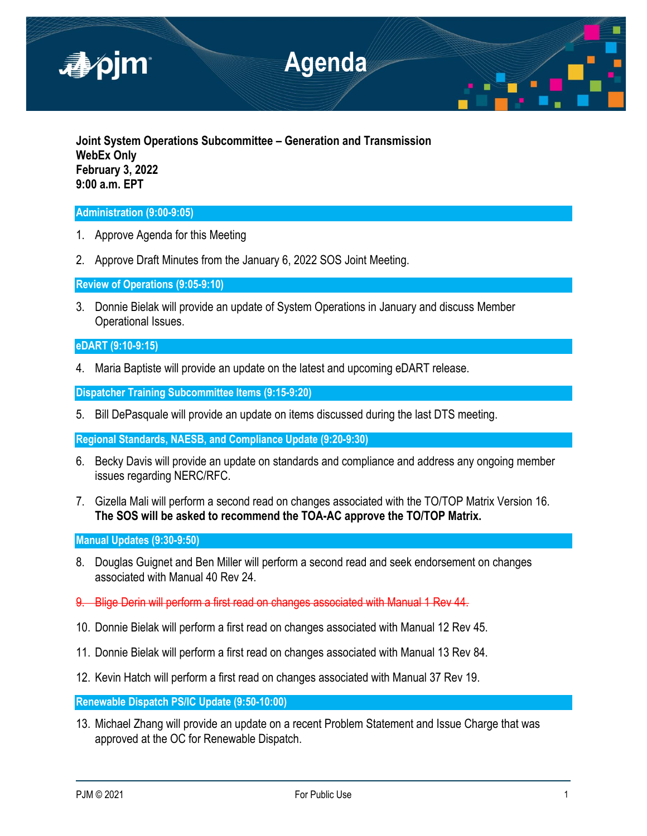

**Joint System Operations Subcommittee – Generation and Transmission WebEx Only February 3, 2022 9:00 a.m. EPT**

## **Administration (9:00-9:05)**

- 1. Approve Agenda for this Meeting
- 2. Approve Draft Minutes from the January 6, 2022 SOS Joint Meeting.

**Review of Operations (9:05-9:10)**

3. Donnie Bielak will provide an update of System Operations in January and discuss Member Operational Issues.

# **eDART (9:10-9:15)**

4. Maria Baptiste will provide an update on the latest and upcoming eDART release.

**Dispatcher Training Subcommittee Items (9:15-9:20)**

5. Bill DePasquale will provide an update on items discussed during the last DTS meeting.

**Regional Standards, NAESB, and Compliance Update (9:20-9:30)**

- 6. Becky Davis will provide an update on standards and compliance and address any ongoing member issues regarding NERC/RFC.
- 7. Gizella Mali will perform a second read on changes associated with the TO/TOP Matrix Version 16. **The SOS will be asked to recommend the TOA-AC approve the TO/TOP Matrix.**

**Manual Updates (9:30-9:50)**

- 8. Douglas Guignet and Ben Miller will perform a second read and seek endorsement on changes associated with Manual 40 Rev 24.
- 9. Blige Derin will perform a first read on changes associated with Manual 1 Rev 44.
- 10. Donnie Bielak will perform a first read on changes associated with Manual 12 Rev 45.
- 11. Donnie Bielak will perform a first read on changes associated with Manual 13 Rev 84.
- 12. Kevin Hatch will perform a first read on changes associated with Manual 37 Rev 19.

**Renewable Dispatch PS/IC Update (9:50-10:00)**

13. Michael Zhang will provide an update on a recent Problem Statement and Issue Charge that was approved at the OC for Renewable Dispatch.